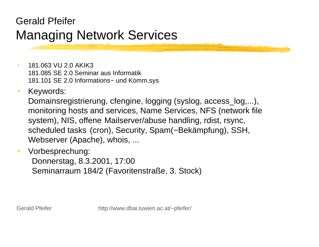### Gerald Pfeifer Managing Network Services

- 181.063 VU 2.0 AKIK3181.085 SE 2.0 Seminar aus Informatik181.101 SE 2.0 Informations− und Komm.sys
- $\bullet$ Keywords:

Domainsregistrierung, cfengine, logging (syslog, access\_log,...), monitoring hosts and services, Name Services, NFS (network file system), NIS, offene Mailserver/abuse handling, rdist, rsync, scheduled tasks (cron), Security, Spam(−Bekämpfung), SSH, Webserver (Apache), whois, ...

 $\bullet$ Vorbesprechung:

> Donnerstag, 8.3.2001, 17:00 Seminarraum 184/2 (Favoritenstraße, 3. Stock)

Gerald Pfeifer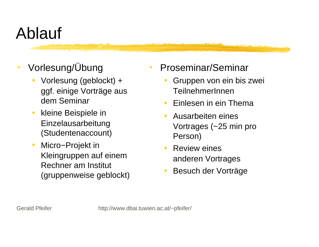# Ablauf

- 0 Vorlesung/Übung
	- $\bullet$  Vorlesung (geblockt) + ggf. einige Vorträge aus dem Seminar
	- $\bullet$  kleine Beispiele in Einzelausarbeitung (Studentenaccount)
	- $\bullet$  Micro−Projekt in Kleingruppen auf einem Rechner am Institut (gruppenweise geblockt)
- Proseminar/Seminar
	- $\bullet$  Gruppen von ein bis zwei TeilnehmerInnen
	- $\bullet$ Einlesen in ein Thema
	- $\bullet$  Ausarbeiten eines Vortrages (~25 min pro Person)
	- $\bullet$  Review eines anderen Vortrages
	- $\bullet$ Besuch der Vorträge

 $\bullet$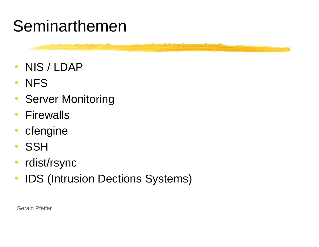### Seminarthemen

- $\bullet$ NIS / LDAP
- $\bullet$ **NFS**
- $\bullet$ Server Monitoring
- $\bullet$ **Firewalls**
- $\bullet$ cfengine
- $\bullet$ **SSH**
- $\bullet$ rdist/rsync
- $\bullet$ IDS (Intrusion Dections Systems)

Gerald Pfeifer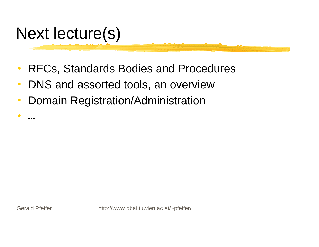### Next lecture(s)

- $\bullet$ RFCs, Standards Bodies and Procedures
- $\bullet$ DNS and assorted tools, an overview
- $\bullet$ Domain Registration/Administration

Gerald Pfeifer

 $\bullet$ 

…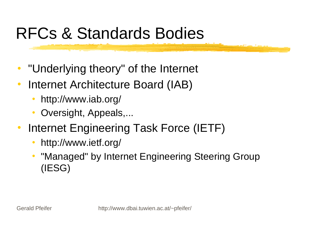### RFCs & Standards Bodies

- $\bullet$ "Underlying theory" of the Internet
- $\bullet$  Internet Architecture Board (IAB)
	- $\bullet$ http://www.iab.org/
	- $\bullet$ Oversight, Appeals,...
- $\bullet$  Internet Engineering Task Force (IETF)
	- $\bullet$ http://www.ietf.org/
	- $\bullet$  "Managed" by Internet Engineering Steering Group (IESG)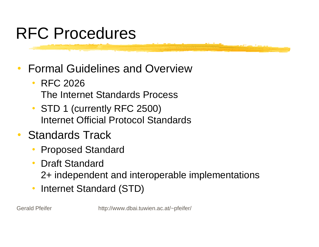### RFC Procedures

- 0 Formal Guidelines and Overview
	- $\bullet$  RFC 2026The Internet Standards Process
	- STD 1 (currently RFC 2500) Internet Official Protocol Standards
- 0 Standards Track
	- $\bullet$ Proposed Standard
	- $\bullet$  Draft Standard 2+ independent and interoperable implementations
	- $\bullet$ Internet Standard (STD)

Gerald Pfeifer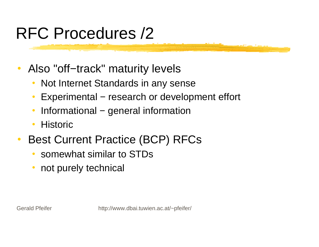# RFC Procedures /2

- $\bullet$  Also "off−track" maturity levels
	- $\bullet$ Not Internet Standards in any sense
	- $\bullet$ Experimental – research or development effort
	- $\bullet$ Informational − general information
	- $\bullet$ **Historic**
- $\bullet$  Best Current Practice (BCP) RFCs
	- 0 somewhat similar to STDs
	- $\bullet$ not purely technical

Gerald Pfeifer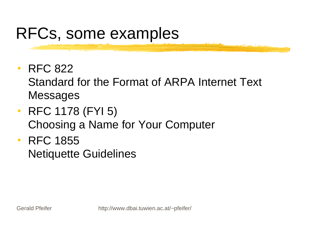# RFCs, some examples

 $\bullet$ RFC 822

Standard for the Format of ARPA Internet Text Messages

- RFC 1178 (FYI 5) Choosing a Name for Your Computer
- RFC 1855 Netiquette Guidelines

Gerald Pfeifer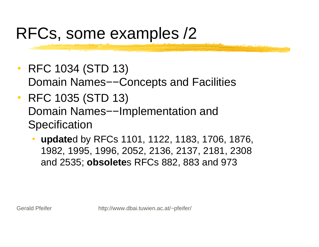# RFCs, some examples /2

- $\bullet$  RFC 1034 (STD 13) Domain Names––Concepts and Facilities
- 0 RFC 1035 (STD 13) Domain Names––Implementation and **Specification** 
	- $\bullet$  **update**d by RFCs 1101, 1122, 1183, 1706, 1876, 1982, 1995, 1996, 2052, 2136, 2137, 2181, 2308 and 2535; **obsolete**s RFCs 882, 883 and 973

Gerald Pfeifer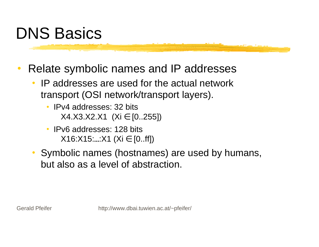## DNS Basics

- 0 Relate symbolic names and IP addresses
	- $\bullet$  IP addresses are used for the actual network transport (OSI network/transport layers).
		- IPv4 addresses: 32 bits X4.X3.X2.X1 (Xi ∈ [0..255])
		- 0 IPv6 addresses: 128 bits $X16:X15...X1$  (Xi  $\in$  [0..ff])
	- Symbolic names (hostnames) are used by humans, but also as a level of abstraction.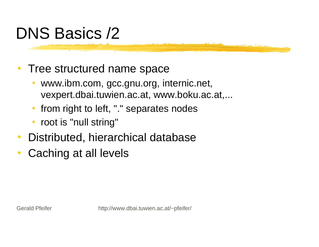# DNS Basics /2

0 Tree structured name space

- $\bullet$  www.ibm.com, gcc.gnu.org, internic.net, vexpert.dbai.tuwien.ac.at, www.boku.ac.at,...
- $\bullet$ from right to left, "." separates nodes
- $\bullet$ root is "null string"
- $\bullet$ Distributed, hierarchical database
- $\bullet$ Caching at all levels

Gerald Pfeifer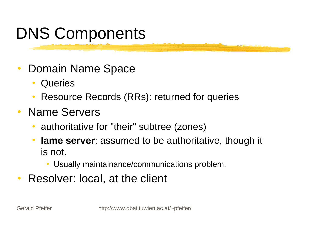# DNS Components

- $\bullet$  Domain Name Space
	- $\bullet$ **Queries**
	- $\bullet$ Resource Records (RRs): returned for queries
- $\bullet$  Name Servers
	- authoritative for "their" subtree (zones)
	- $\bullet$  **lame server**: assumed to be authoritative, though it is not.
		- Usually maintainance/communications problem.
- $\bullet$ Resolver: local, at the client

Gerald Pfeifer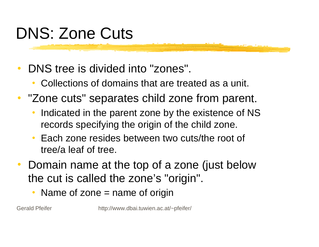# DNS: Zone Cuts

- $\bullet$  DNS tree is divided into "zones".
	- $\bullet$ Collections of domains that are treated as a unit.
- "Zone cuts" separates child zone from parent.
	- $\bullet$  Indicated in the parent zone by the existence of NS records specifying the origin of the child zone.
	- $\bullet$  Each zone resides between two cuts/the root of tree/a leaf of tree.
- $\bullet$  Domain name at the top of a zone (just below the cut is called the zone's "origin".
	- $\bullet$ Name of zone  $=$  name of origin

Gerald Pfeifer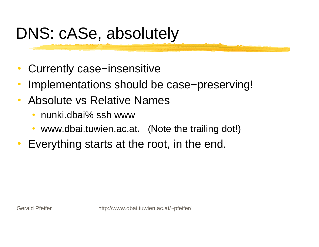# DNS: cASe, absolutely

- $\bullet$ Currently case−insensitive
- 0 Implementations should be case−preserving!
- $\bullet$  Absolute vs Relative Names
	- $\bullet$ nunki.dbai% ssh www
	- www.dbai.tuwien.ac.at**.** (Note the trailing dot!)
- $\bullet$ Everything starts at the root, in the end.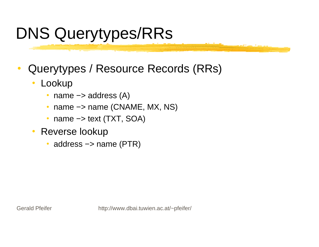# DNS Querytypes/RRs

- 0 Querytypes / Resource Records (RRs)
	- $\bullet$  Lookup
		- 0 name −> address (A)
		- name −> name (CNAME, MX, NS)
		- $\bullet$ name −> text (TXT, SOA)
	- $\bullet$  Reverse lookup
		- 0 address −> name (PTR)

Gerald Pfeifer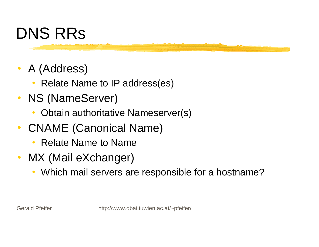# DNS RRs

- 0 A (Address)
	- Relate Name to IP address(es)
- NS (NameServer)
	- $\bullet$ Obtain authoritative Nameserver(s)
- $\bullet$  CNAME (Canonical Name)
	- $\bullet$ Relate Name to Name
- $\bullet$  MX (Mail eXchanger)
	- $\bullet$ Which mail servers are responsible for a hostname?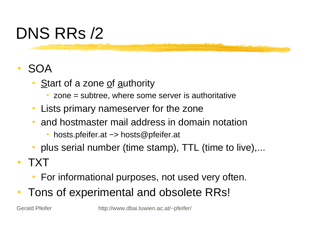# DNS RRs /2

### 0 SOA

- $\bullet$ Start of a zone of authority
	- 0 zone = subtree, where some server is authoritative
- $\bullet$ Lists primary nameserver for the zone
- $\bullet$  and hostmaster mail address in domain notation
	- hosts.pfeifer.at −> hosts@pfeifer.at
- plus serial number (time stamp), TTL (time to live),...
- $\bullet$  TXT
	- $\bullet$ For informational purposes, not used very often.
- 0 Tons of experimental and obsolete RRs!

Gerald Pfeifer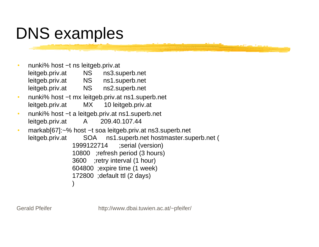# DNS examples

- nunki% host −t ns leitgeb.priv.at leitgeb.priv.at NS ns3.superb.net leitgeb.priv.at NS ns1.superb.net leitgeb.priv.at NS ns2.superb.net
- 0 nunki% host −t mx leitgeb.priv.at ns1.superb.net leitgeb.priv.at MX 10 leitgeb.priv.at
- 0 nunki% host −t a leitgeb.priv.at ns1.superb.net leitgeb.priv.at A 209.40.107.44
- markab[67]:~% host −t soa leitgeb.priv.at ns3.superb.net leitgeb.priv.at SOA ns1.superb.net hostmaster.superb.net ( 1999122714 ;serial (version) 10800 ;refresh period (3 hours) 3600 ;retry interval (1 hour) 604800 ;expire time (1 week) 172800 ;default ttl (2 days) )

Gerald Pfeifer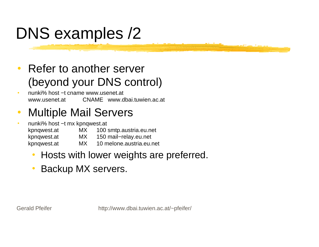# DNS examples /2

- $\bullet$  Refer to another server (beyond your DNS control)
- nunki% host −t cname www.usenet.atwww.usenet.at CNAME www.dbai.tuwien.ac.at
- 0 Multiple Mail Servers
- nunki% host −t mx kpnqwest.at kpnqwest.at MX 100 smtp.austria.eu.net kpnqwest.at MX 150 mail−relay.eu.net kpnqwest.at MX 10 melone.austria.eu.net
	- $\bullet$ Hosts with lower weights are preferred.
	- $\bullet$ Backup MX servers.

Gerald Pfeifer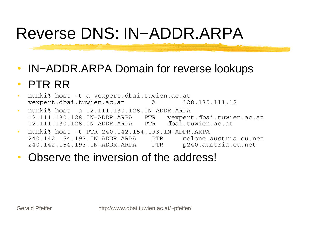# Reverse DNS: IN−ADDR.ARPA

- $\bullet$ IN−ADDR.ARPA Domain for reverse lookups
- $\bullet$ PTR RR
- $\bullet$  nunki% host −t a vexpert.dbai.tuwien.ac.at vexpert.dbai.tuwien.ac.at A 128.130.111.12
- nunki% host −a 12.111.130.128.IN−ADDR.ARPA 12.111.130.128.IN−ADDR.ARPA PTR vexpert.dbai.tuwien.ac.at 12.111.130.128.IN−ADDR.ARPA PTR dbai.tuwien.ac.at
- nunki% host −t PTR 240.142.154.193.IN−ADDR.ARPA 240.142.154.193.IN−ADDR.ARPA PTR melone.austria.eu.net240.142.154.193.IN−ADDR.ARPA PTR p240.austria.eu.net
- $\bullet$ Observe the inversion of the address!

Gerald Pfeifer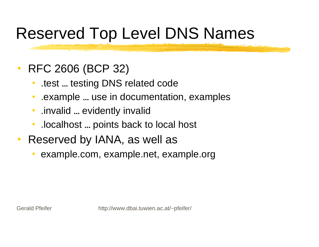# Reserved Top Level DNS Names

### $\bullet$ RFC 2606 (BCP 32)

- $\bullet$ .test … testing DNS related code
- $\bullet$ .example … use in documentation, examples
- $\bullet$ .invalid … evidently invalid
- $\bullet$ .localhost … points back to local host
- $\bullet$  Reserved by IANA, as well as
	- 0 example.com, example.net, example.org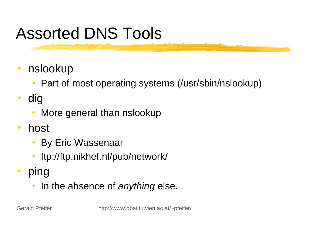# Assorted DNS Tools

- $\bullet$  nslookup
	- Part of most operating systems (/usr/sbin/nslookup)
- $\bullet$  dig
	- $\bullet$ More general than nslookup
- $\bullet$  host
	- By Eric Wassenaar
	- ftp://ftp.nikhef.nl/pub/network/
- $\bullet$  ping
	- $\bullet$ In the absence of *anything* else.

Gerald Pfeifer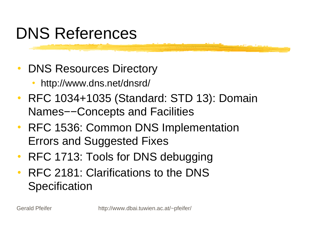# DNS References

- 0 DNS Resources Directory
	- $\bullet$ http://www.dns.net/dnsrd/
- RFC 1034+1035 (Standard: STD 13): Domain Names−−Concepts and Facilities
- RFC 1536: Common DNS Implementation Errors and Suggested Fixes
- 0 RFC 1713: Tools for DNS debugging
- 0 RFC 2181: Clarifications to the DNS **Specification**

Gerald Pfeifer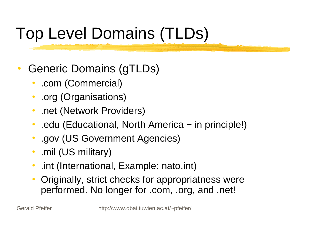# Top Level Domains (TLDs)

- 0 Generic Domains (gTLDs)
	- $\bullet$ .com (Commercial)
	- $\bullet$ .org (Organisations)
	- $\bullet$ .net (Network Providers)
	- $\bullet$ .edu (Educational, North America − in principle!)
	- $\bullet$ .gov (US Government Agencies)
	- $\bullet$ .mil (US military)
	- $\bullet$ .int (International, Example: nato.int)
	- $\bullet$  Originally, strict checks for appropriatness were performed. No longer for .com, .org, and .net!

Gerald Pfeifer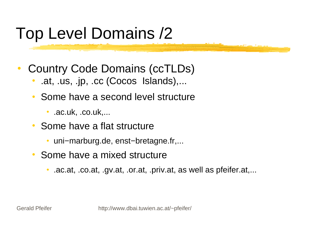## Top Level Domains /2

- 0 Country Code Domains (ccTLDs)
	- $\bullet$ .at, .us, .jp, .cc (Cocos Islands),...
	- $\bullet$  Some have a second level structure
		- O .ac.uk, .co.uk,...
	- Some have a flat structure
		- uni−marburg.de, enst−bretagne.fr,...
	- Some have a mixed structure
		- 0 .ac.at, .co.at, .gv.at, .or.at, .priv.at, as well as pfeifer.at,...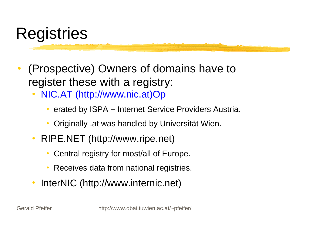### **Registries**

- 0 (Prospective) Owners of domains have to register these with a registry:
	- $\bullet$  NIC.AT (http://www.nic.at)Op
		- 0 erated by ISPA – Internet Service Providers Austria.
		- 0 Originally .at was handled by Universität Wien.
	- RIPE.NET (http://www.ripe.net)
		- 0 Central registry for most/all of Europe.
		- 0 Receives data from national registries.
	- InterNIC (http://www.internic.net)

Gerald Pfeifer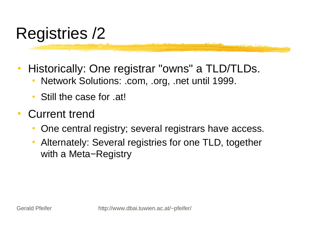# Registries /2

- $\bullet$  Historically: One registrar "owns" a TLD/TLDs.
	- $\bullet$ Network Solutions: .com, .org, .net until 1999.
	- $\bullet$ Still the case for .at!
- $\bullet$  Current trend
	- $\bullet$ One central registry; several registrars have access.
	- $\bullet$  Alternately: Several registries for one TLD, together with a Meta–Registry

Gerald Pfeifer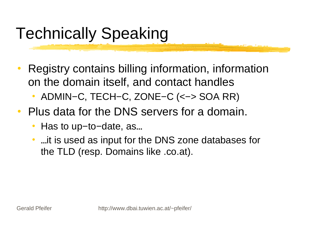# Technically Speaking

- 0 Registry contains billing information, information on the domain itself, and contact handles
	- $\bullet$ ADMIN−C, TECH−C, ZONE−C (<−> SOA RR)
- $\bullet$  Plus data for the DNS servers for a domain.
	- $\bullet$ Has to up−to−date, as…
	- …it is used as input for the DNS zone databases for the TLD (resp. Domains like .co.at).

Gerald Pfeifer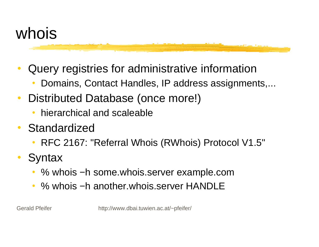### whois

- 0 Query registries for administrative information
	- $\bullet$ Domains, Contact Handles, IP address assignments,...
- $\bullet$  Distributed Database (once more!)
	- $\bullet$ hierarchical and scaleable
- $\bullet$  Standardized
	- RFC 2167: "Referral Whois (RWhois) Protocol V1.5"
- $\bullet$ **Syntax** 
	- % whois −h some.whois.server example.com
	- $\bullet$ % whois −h another.whois.server HANDLE

Gerald Pfeifer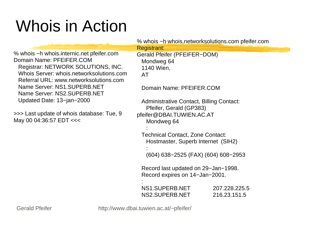# Whois in Action

|                                                                                                                                                                                                                                                                        |  | % whois -h whois networks olutions com pfeifer com                            |                               |  |
|------------------------------------------------------------------------------------------------------------------------------------------------------------------------------------------------------------------------------------------------------------------------|--|-------------------------------------------------------------------------------|-------------------------------|--|
|                                                                                                                                                                                                                                                                        |  | Registrant:                                                                   |                               |  |
| % whois -h whois.internic.net pfeifer.com<br><b>Domain Name: PFEIFER.COM</b><br>Registrar: NETWORK SOLUTIONS, INC.<br>Whois Server: whois.networksolutions.com<br>Referral URL: www.networksolutions.com<br>Name Server: NS1.SUPERB.NET<br>Name Server: NS2.SUPERB.NET |  | Gerald Pfeifer (PFEIFER-DOM)<br>Mondweg 64<br>1140 Wien,<br>AT                |                               |  |
|                                                                                                                                                                                                                                                                        |  | Domain Name: PFEIFER.COM                                                      |                               |  |
| Updated Date: 13-jan-2000                                                                                                                                                                                                                                              |  | <b>Administrative Contact, Billing Contact:</b><br>Pfeifer, Gerald (GP383)    |                               |  |
| >>> Last update of whois database: Tue, 9<br>May 00 04:36:57 EDT <<<                                                                                                                                                                                                   |  | pfeifer@DBAI.TUWIEN.AC.AT<br>Mondweg 64                                       |                               |  |
|                                                                                                                                                                                                                                                                        |  | <b>Technical Contact, Zone Contact:</b><br>Hostmaster, Superb Internet (SIH2) |                               |  |
|                                                                                                                                                                                                                                                                        |  | (604) 638–2525 (FAX) (604) 608–2953                                           |                               |  |
|                                                                                                                                                                                                                                                                        |  | Record last updated on 29-Jan-1998.<br>Record expires on 14-Jan-2001.         |                               |  |
|                                                                                                                                                                                                                                                                        |  | NS1.SUPERB.NET<br>NS2.SUPERB.NET                                              | 207.228.225.5<br>216.23.151.5 |  |
| <b>Gerald Pfeifer</b>                                                                                                                                                                                                                                                  |  | http://www.dbai.tuwien.ac.at/~pfeifer/                                        |                               |  |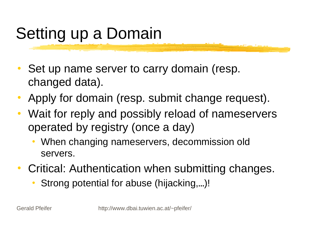# Setting up a Domain

- 0 Set up name server to carry domain (resp. changed data).
- 0 Apply for domain (resp. submit change request).
- 0 Wait for reply and possibly reload of nameservers operated by registry (once a day)
	- $\bullet$  When changing nameservers, decommission old servers.
- 0 Critical: Authentication when submitting changes.
	- $\bullet$ Strong potential for abuse (hijacking,…)!

Gerald Pfeifer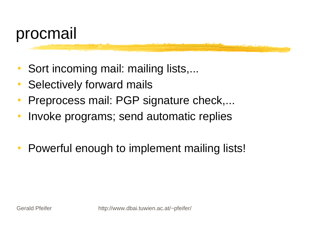

- $\bullet$ Sort incoming mail: mailing lists,...
- 0 Selectively forward mails
- $\bullet$ Preprocess mail: PGP signature check,...
- $\bullet$ Invoke programs; send automatic replies
- $\bullet$ Powerful enough to implement mailing lists!

Gerald Pfeifer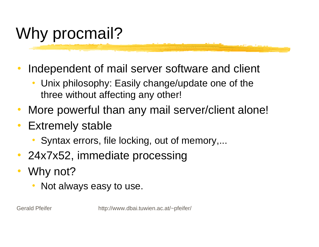# Why procmail?

- $\bullet$  Independent of mail server software and client
	- $\bullet$  Unix philosophy: Easily change/update one of the three without affecting any other!
- 0 More powerful than any mail server/client alone!
- $\bullet$  Extremely stable
	- $\bullet$ Syntax errors, file locking, out of memory,...
- $\bullet$ 24x7x52, immediate processing
- 0 Why not?
	- $\bullet$ Not always easy to use.

Gerald Pfeifer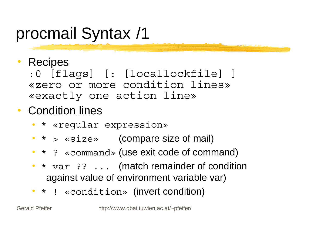#### 0 **Recipes**

:0 [flags] [: [locallockfile] ] «zero or more condition lines»«exactly one action line»

### Condition lines

- $\bullet$ \* «regular expression»
- $\bullet$   $\star$   $>$  « $\texttt{size}$ » (compare size of mail)
- \* ? «command» (use exit code of command)
- \* var ?? ... (match remainder of condition against value of environment variable var)
- \* ! «condition» (invert condition)

Gerald Pfeifer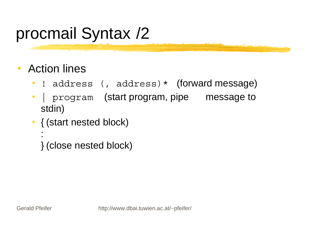- $\bullet$  Action lines
	- $\bullet$ ! address (, address) \* (forward message)
	- $\bullet$  | program (start program, pipe message to stdin)
	- { (start nested block)
		- } (close nested block)

Gerald Pfeifer

: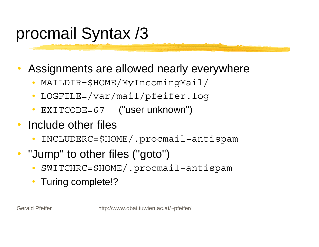- 0 Assignments are allowed nearly everywhere
	- $\bullet$ MAILDIR=\$HOME/MyIncomingMail/
	- $\bullet$ LOGFILE=/var/mail/pfeifer.log
	- $\bullet$ EXITCODE=67 ("user unknown")
- 0 Include other files
	- $\bullet$ INCLUDERC=\$HOME/.procmail−antispam
- $\bullet$  "Jump" to other files ("goto")
	- $\bullet$ SWITCHRC=\$HOME/.procmail−antispam
	- $\bullet$ Turing complete!?

Gerald Pfeifer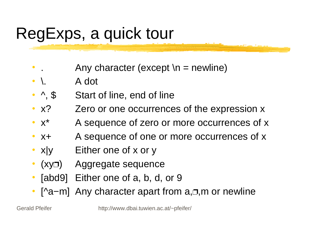# RegExps, a quick tour

- $\bullet$ Any character (except  $\ln$  = newline)
- $\bullet$ \. A dot
- $\bullet$   $\land$ , \$ Start of line, end of line
- $\cdot$   $x$ ? Zero or one occurrences of the expression x
- $\bullet$   $X^*$ A sequence of zero or more occurrences of x
- $\bullet$  X+ A sequence of one or more occurrences of x
- $x|y$ Either one of  $x$  or  $y$
- $\bullet$ • (xy□) Aggregate sequence
- $\bullet$ [abd9] Either one of a, b, d, or 9
- $\bullet$ • [^a–m] Any character apart from a, o, m or newline

Gerald Pfeifer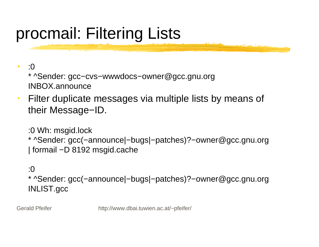# procmail: Filtering Lists

- $\bullet$  :0\* ^Sender: gcc−cvs−wwwdocs−owner@gcc.gnu.org INBOX.announce
- 0 Filter duplicate messages via multiple lists by means of their Message−ID.

:0 Wh: msgid.lock \* ^Sender: gcc(−announce|−bugs|−patches)?−owner@gcc.gnu.org | formail −D 8192 msgid.cache

### :0

\* ^Sender: gcc(−announce|−bugs|−patches)?−owner@gcc.gnu.org INLIST.gcc

Gerald Pfeifer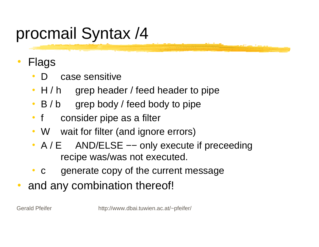- 0 Flags
	- $\bullet$ case sensitive
	- H / h grep header / feed header to pipe
	- B / b grep body / feed body to pipe
	- $\bullet$  f consider pipe as a filter
	- $\bullet$  W wait for filter (and ignore errors)
	- A / E AND/ELSE -- only execute if preceeding recipe was/was not executed.
	- $\bullet$ c generate copy of the current message
- 0 and any combination thereof!

Gerald Pfeifer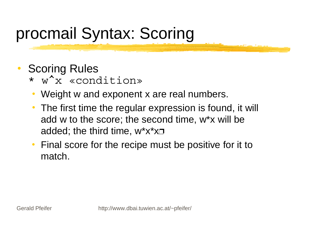## procmail Syntax: Scoring

- 0 Scoring Rules
	- \* w^x «condition»
	- $\bullet$ Weight w and exponent x are real numbers.
	- $\bullet$  The first time the regular expression is found, it will add w to the score; the second time, w\*x will be added; the third time, w\*x\*x $\Box$
	- $\bullet$  Final score for the recipe must be positive for it to match.

Gerald Pfeifer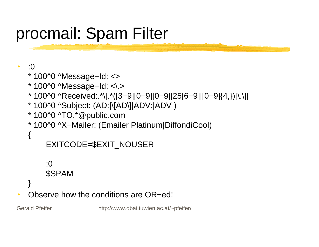### procmail: Spam Filter

#### 0 :0

{

- \* 100^0 ^Message−Id: <>
- \* 100^0 ^Message−Id: <\.>
- \* 100^0 ^Received:.\*\[.\*([3−9][0−9][0−9]|25[6−9]|[0−9]{4,})[\.\]]
- \* 100^0 ^Subject: (AD:|\[AD\]|ADV:|ADV )
- \* 100^0 ^TO.\*@public.com
- \* 100^0 ^X−Mailer: (Emailer Platinum|DiffondiCool)

```
 EXITCODE=$EXIT_NOUSER
```

```
 :0 $SPAM
```
} Observe how the conditions are OR−ed!

Gerald Pfeifer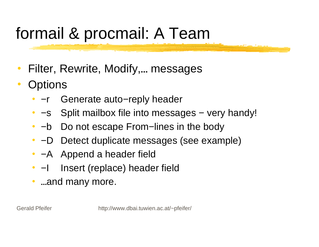# formail & procmail: A Team

- $\bullet$ Filter, Rewrite, Modify,… messages
- 0 **Options** 
	- $\bullet$   $-r$ −r Generate auto−reply header
	- −s Split mailbox file into messages − very handy!
	- −b Do not escape From−lines in the body
	- $\bullet$  -D −D Detect duplicate messages (see example)
	- −A Append a header field
	- $\bullet$   $\qquad$ Insert (replace) header field
	- $\bullet$ …and many more.

Gerald Pfeifer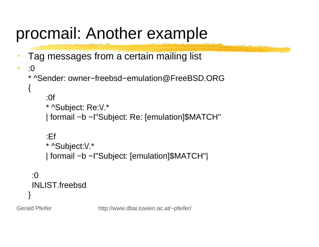### procmail: Another example

Tag messages from a certain mailing list

```
\bullet :0* ^Sender: owner−freebsd−emulation@FreeBSD.ORG
{
      :0f
      * ^Subject: Re:\/.*
      | formail −b −I"Subject: Re: [emulation]$MATCH"
      :Ef * ^Subject:\/.*
      | formail −b −I"Subject: [emulation]$MATCH"|
 :0INLIST.freebsd
}
```
Gerald Pfeifer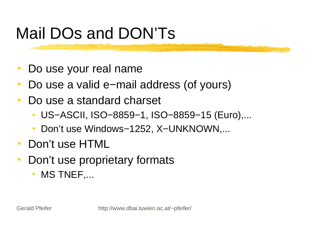# Mail DOs and DON'Ts

- $\bullet$ Do use your real name
- 0 Do use a valid e−mail address (of yours)
- $\bullet$  Do use a standard charset
	- $\bullet$ US−ASCII, ISO−8859−1, ISO−8859−15 (Euro),...
	- $\bullet$ Don't use Windows−1252, X–UNKNOWN,...
- 0 Don't use HTML
- 0 Don't use proprietary formats
	- $\bullet$ MS TNEF,...

Gerald Pfeifer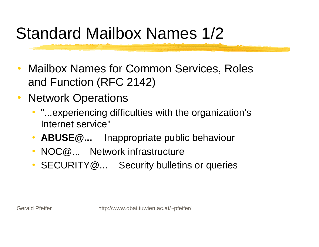## Standard Mailbox Names 1/2

- $\bullet$  Mailbox Names for Common Services, Roles and Function (RFC 2142)
- 0 Network Operations
	- "...experiencing difficulties with the organization's Internet service"
	- $\bullet$ **ABUSE@...** Inappropriate public behaviour
	- $\bullet$ NOC@... Network infrastructure
	- SECURITY@... Security bulletins or queries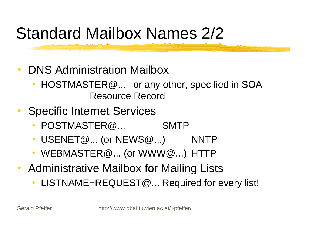## Standard Mailbox Names 2/2

- $\bullet$  DNS Administration Mailbox
	- HOSTMASTER@... or any other, specified in SOA Resource Record
- 0 Specific Internet Services
	- POSTMASTER@... SMTP
	- $\bullet$  USENET@... (or NEWS@...) NNTP
	- $\bullet$ WEBMASTER@... (or WWW@...) HTTP
- $\bullet$  Administrative Mailbox for Mailing Lists
	- LISTNAME−REQUEST@... Required for every list!

Gerald Pfeifer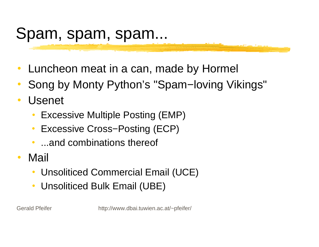### Spam, spam, spam...

- $\bullet$ Luncheon meat in a can, made by Hormel
- 0 Song by Monty Python's "Spam−loving Vikings"
- $\bullet$  Usenet
	- $\bullet$ Excessive Multiple Posting (EMP)
	- $\bullet$ Excessive Cross−Posting (ECP)
	- $\bullet$ ...and combinations thereof
- 0 Mail
	- $\bullet$ Unsoliticed Commercial Email (UCE)
	- $\bullet$ Unsoliticed Bulk Email (UBE)

Gerald Pfeifer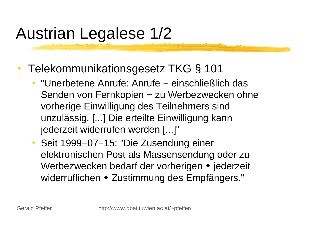# Austrian Legalese 1/2

- 0 Telekommunikationsgesetz TKG § 101
	- $\bullet$  "Unerbetene Anrufe: Anrufe − einschließlich das Senden von Fernkopien – zu Werbezwecken ohne vorherige Einwilligung des Teilnehmers sind unzulässig. [...] Die erteilte Einwilligung kann jederzeit widerrufen werden [...]"
	- $\bullet$  Seit 1999−07−15: "Die Zusendung einer elektronischen Post als Massensendung oder zu Werbezwecken bedarf der vorherigen • jederzeit widerruflichen • Zustimmung des Empfängers."

Gerald Pfeifer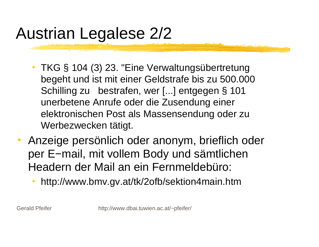# Austrian Legalese 2/2

- TKG § 104 (3) 23. "Eine Verwaltungsübertretung begeht und ist mit einer Geldstrafe bis zu 500.000 Schilling zu bestrafen, wer [...] entgegen § 101 unerbetene Anrufe oder die Zusendung einer elektronischen Post als Massensendung oder zu Werbezwecken tätigt.
- $\bullet$  Anzeige persönlich oder anonym, brieflich oder per E−mail, mit vollem Body und sämtlichen Headern der Mail an ein Fernmeldebüro:
	- $\bullet$ http://www.bmv.gv.at/tk/2ofb/sektion4main.htm

Gerald Pfeifer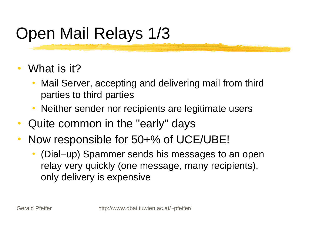# Open Mail Relays 1/3

- 0 What is it?
	- $\bullet$  Mail Server, accepting and delivering mail from third parties to third parties
	- $\bullet$ Neither sender nor recipients are legitimate users
- $\bullet$ Quite common in the "early" days
- $\bullet$  Now responsible for 50+% of UCE/UBE!
	- 0 (Dial−up) Spammer sends his messages to an open relay very quickly (one message, many recipients), only delivery is expensive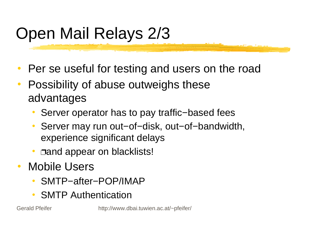# Open Mail Relays 2/3

- 0 Per se useful for testing and users on the road
- 0 Possibility of abuse outweighs these advantages
	- $\bullet$ Server operator has to pay traffic−based fees
	- Server may run out−of−disk, out−of−bandwidth, experience significant delays
	- $\bullet$ • **Dand appear on blacklists!**
- 0 Mobile Users
	- $\bullet$ SMTP−after−POP/IMAP
	- $\bullet$ SMTP Authentication

Gerald Pfeifer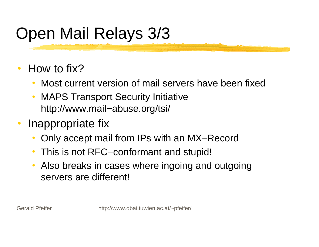# Open Mail Relays 3/3

- 0 How to fix?
	- $\bullet$ Most current version of mail servers have been fixed
	- $\bullet$  MAPS Transport Security Initiative http://www.mail−abuse.org/tsi/
- $\bullet$  Inappropriate fix
	- $\bullet$ Only accept mail from IPs with an MX−Record
	- $\bullet$ This is not RFC−conformant and stupid!
	- $\bullet$  Also breaks in cases where ingoing and outgoing servers are different!

Gerald Pfeifer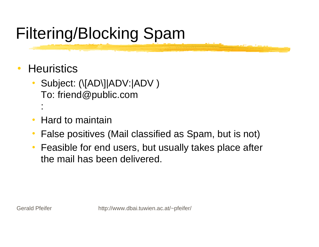# Filtering/Blocking Spam

- 0 **Heuristics** 
	- $\bullet$ Subject: (\[AD\]|ADV:|ADV) To: friend@public.com :
	- $\bullet$ Hard to maintain
	- $\bullet$ False positives (Mail classified as Spam, but is not)
	- $\bullet$  Feasible for end users, but usually takes place after the mail has been delivered.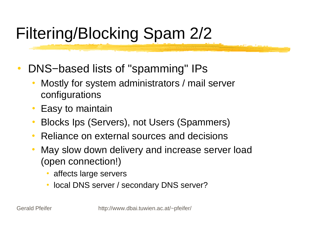# Filtering/Blocking Spam 2/2

- 0 DNS–based lists of "spamming" IPs
	- $\bullet$  Mostly for system administrators / mail server configurations
	- $\bullet$ Easy to maintain
	- $\bullet$ Blocks Ips (Servers), not Users (Spammers)
	- $\bullet$ • Reliance on external sources and decisions
	- $\bullet$  May slow down delivery and increase server load (open connection!)
		- 0 affects large servers
		- local DNS server / secondary DNS server?

Gerald Pfeifer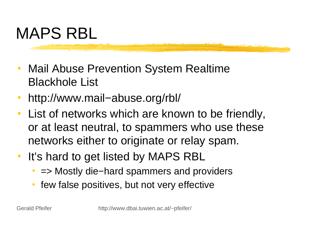# MAPS RBL

- 0 Mail Abuse Prevention System Realtime Blackhole List
- 0 http://www.mail−abuse.org/rbl/
- 0 List of networks which are known to be friendly, or at least neutral, to spammers who use these networks either to originate or relay spam.
- $\bullet$  It's hard to get listed by MAPS RBL
	- 0 => Mostly die−hard spammers and providers
	- $\bullet$ few false positives, but not very effective

Gerald Pfeifer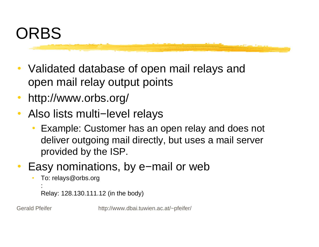

- 0 Validated database of open mail relays and open mail relay output points
- 0 http://www.orbs.org/
- 0 Also lists multi−level relays
	- $\bullet$  Example: Customer has an open relay and does not deliver outgoing mail directly, but uses a mail server provided by the ISP.
- 0 Easy nominations, by e−mail or web
	- To: relays@orbs.org

```
Relay: 128.130.111.12 (in the body)
```
Gerald Pfeifer

: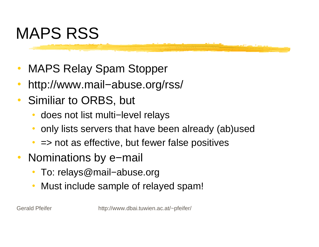# MAPS RSS

- 0 MAPS Relay Spam Stopper
- 0 http://www.mail−abuse.org/rss/
- $\bullet$  Similiar to ORBS, but
	- $\bullet$ does not list multi−level relays
	- $\bullet$ only lists servers that have been already (ab)used
	- $\bullet$ => not as effective, but fewer false positives
- 0 Nominations by e−mail
	- $\bullet$ To: relays@mail−abuse.org
	- $\bullet$ Must include sample of relayed spam!

Gerald Pfeifer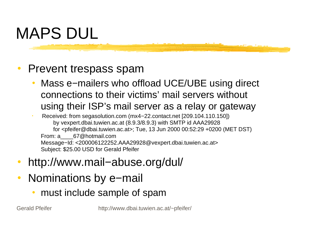# MAPS DUL

#### 0 Prevent trespass spam

 $\bullet$  Mass e−mailers who offload UCE/UBE using direct connections to their victims' mail servers without using their ISP's mail server as a relay or gateway

 Received: from segasolution.com (mx4−22.contact.net [209.104.110.150]) by vexpert.dbai.tuwien.ac.at (8.9.3/8.9.3) with SMTP id AAA29928 for <pfeifer@dbai.tuwien.ac.at>; Tue, 13 Jun 2000 00:52:29 +0200 (MET DST) From: a 67@hotmail.com Message−Id: <200006122252.AAA29928@vexpert.dbai.tuwien.ac.at> Subject: \$25.00 USD for Gerald Pfeifer

- 0 http://www.mail−abuse.org/dul/
- $\bullet$  Nominations by e−mail
	- $\bullet$ must include sample of spam

Gerald Pfeifer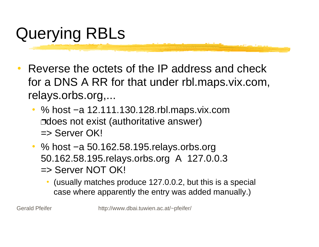# Querying RBLs

- 0 Reverse the octets of the IP address and check for a DNS A RR for that under rbl.maps.vix.com, relays.orbs.org,...
	- % host −a 12.111.130.128.rbl.maps.vix.com ⊐does not exist (authoritative answer) => Server OK!
	- % host −a 50.162.58.195.relays.orbs.org 50.162.58.195.relays.orbs.org A 127.0.0.3 => Server NOT OK!
		- O (usually matches produce 127.0.0.2, but this is a special case where apparently the entry was added manually.)

Gerald Pfeifer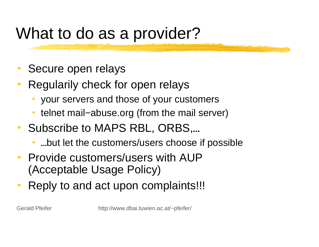### What to do as a provider?

- 0 Secure open relays
- 0 Regularily check for open relays
	- $\bullet$ your servers and those of your customers
	- $\bullet$ telnet mail–abuse.org (from the mail server)
- Subscribe to MAPS RBL, ORBS,…
	- $\bullet$ …but let the customers/users choose if possible
- Provide customers/users with AUP(Acceptable Usage Policy)
- 0 Reply to and act upon complaints!!!

Gerald Pfeifer